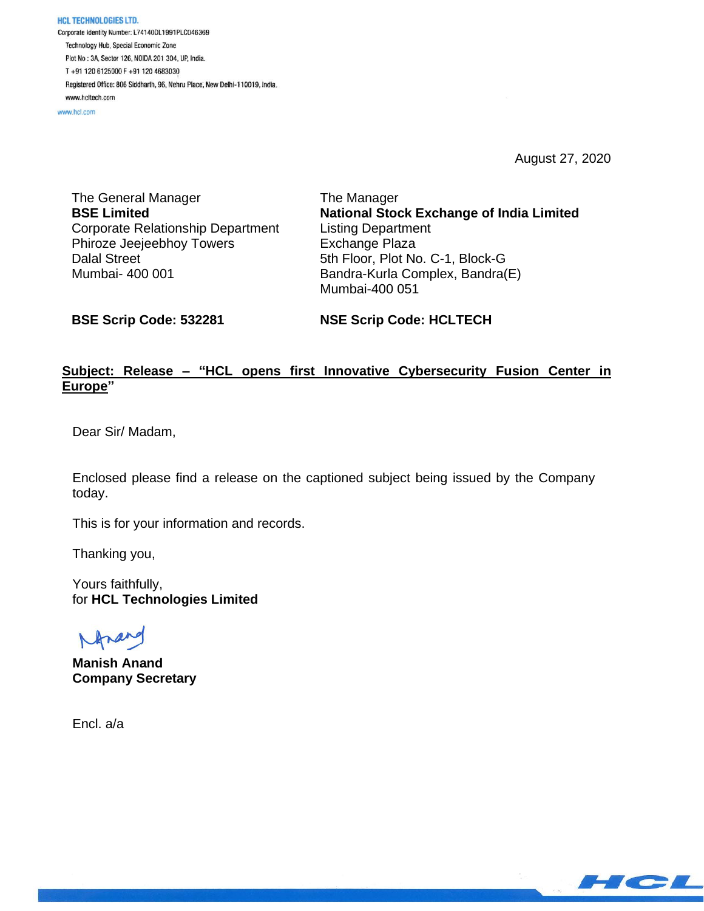HCL TECHNOLOGIES LTD. Corporate Identity Number: L74140DL1991PLC046369 Technology Hub, Special Economic Zone Plot No: 3A, Sector 126, NOIDA 201 304, UP, India. T+91 120 6125000 F+91 120 4683030 Registered Office: 806 Siddharth, 96, Nehru Place, New Delhi-110019, India. www.hcltech.com

www.hcl.com

August 27, 2020

The General Manager **BSE Limited** Corporate Relationship Department Phiroze Jeejeebhoy Towers Dalal Street Mumbai- 400 001

The Manager **National Stock Exchange of India Limited** Listing Department Exchange Plaza 5th Floor, Plot No. C-1, Block-G Bandra-Kurla Complex, Bandra(E) Mumbai-400 051

**BSE Scrip Code: 532281**

**NSE Scrip Code: HCLTECH**

# **Subject: Release – "HCL opens first Innovative Cybersecurity Fusion Center in Europe"**

Dear Sir/ Madam,

Enclosed please find a release on the captioned subject being issued by the Company today.

This is for your information and records.

Thanking you,

Yours faithfully, for **HCL Technologies Limited**

**Manish Anand Company Secretary**

Encl. a/a

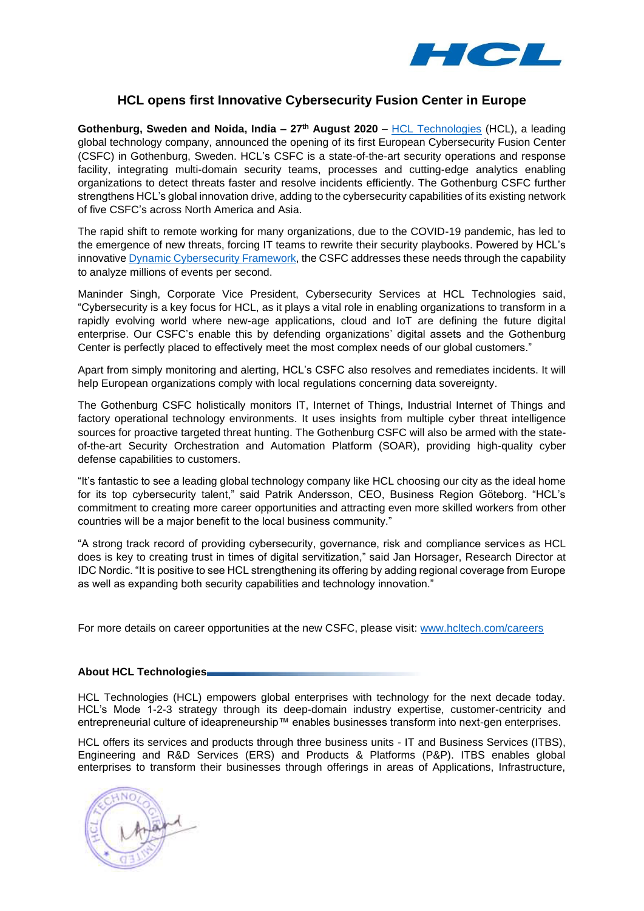

## **HCL opens first Innovative Cybersecurity Fusion Center in Europe**

**Gothenburg, Sweden and Noida, India – 27th August 2020** – [HCL Technologies](https://www.hcltech.com/) (HCL), a leading global technology company, announced the opening of its first European Cybersecurity Fusion Center (CSFC) in Gothenburg, Sweden. HCL's CSFC is a state-of-the-art security operations and response facility, integrating multi-domain security teams, processes and cutting-edge analytics enabling organizations to detect threats faster and resolve incidents efficiently. The Gothenburg CSFC further strengthens HCL's global innovation drive, adding to the cybersecurity capabilities of its existing network of five CSFC's across North America and Asia.

The rapid shift to remote working for many organizations, due to the COVID-19 pandemic, has led to the emergence of new threats, forcing IT teams to rewrite their security playbooks. Powered by HCL's innovative [Dynamic Cybersecurity Framework,](https://www.hcltech.com/cyber-security-grc-services#dynamiccybersecurity) the CSFC addresses these needs through the capability to analyze millions of events per second.

Maninder Singh, Corporate Vice President, Cybersecurity Services at HCL Technologies said, "Cybersecurity is a key focus for HCL, as it plays a vital role in enabling organizations to transform in a rapidly evolving world where new-age applications, cloud and IoT are defining the future digital enterprise. Our CSFC's enable this by defending organizations' digital assets and the Gothenburg Center is perfectly placed to effectively meet the most complex needs of our global customers."

Apart from simply monitoring and alerting, HCL's CSFC also resolves and remediates incidents. It will help European organizations comply with local regulations concerning data sovereignty.

The Gothenburg CSFC holistically monitors IT, Internet of Things, Industrial Internet of Things and factory operational technology environments. It uses insights from multiple cyber threat intelligence sources for proactive targeted threat hunting. The Gothenburg CSFC will also be armed with the stateof-the-art Security Orchestration and Automation Platform (SOAR), providing high-quality cyber defense capabilities to customers.

"It's fantastic to see a leading global technology company like HCL choosing our city as the ideal home for its top cybersecurity talent," said Patrik Andersson, CEO, Business Region Göteborg. "HCL's commitment to creating more career opportunities and attracting even more skilled workers from other countries will be a major benefit to the local business community."

"A strong track record of providing cybersecurity, governance, risk and compliance services as HCL does is key to creating trust in times of digital servitization," said Jan Horsager, Research Director at IDC Nordic. "It is positive to see HCL strengthening its offering by adding regional coverage from Europe as well as expanding both security capabilities and technology innovation."

For more details on career opportunities at the new CSFC, please visit: [www.hcltech.com/careers](http://www.hcltech.com/careers) 

### **About HCL Technologies**

HCL Technologies (HCL) empowers global enterprises with technology for the next decade today. HCL's Mode 1-2-3 strategy through its deep-domain industry expertise, customer-centricity and entrepreneurial culture of ideapreneurship™ enables businesses transform into next-gen enterprises.

HCL offers its services and products through three business units - IT and Business Services (ITBS), Engineering and R&D Services (ERS) and Products & Platforms (P&P). ITBS enables global enterprises to transform their businesses through offerings in areas of Applications, Infrastructure,